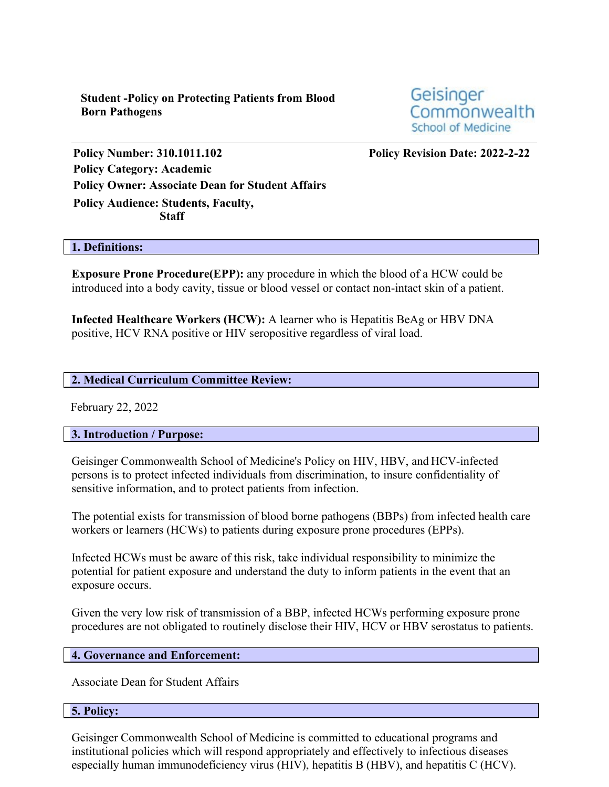**Student -Policy on Protecting Patients from Blood Born Pathogens**

Geisinger Commonwealth **School of Medicine** 

**Policy Number: 310.1011.102 Policy Revision Date: 2022-2-22 Policy Category: Academic Policy Owner: Associate Dean for Student Affairs Policy Audience: Students, Faculty, Staff** 

#### **1. Definitions:**

**Exposure Prone Procedure(EPP):** any procedure in which the blood of a HCW could be introduced into a body cavity, tissue or blood vessel or contact non-intact skin of a patient.

**Infected Healthcare Workers (HCW):** A learner who is Hepatitis BeAg or HBV DNA positive, HCV RNA positive or HIV seropositive regardless of viral load.

#### **2. Medical Curriculum Committee Review:**

February 22, 2022

**3. Introduction / Purpose:**

Geisinger Commonwealth School of Medicine's Policy on HIV, HBV, and HCV-infected persons is to protect infected individuals from discrimination, to insure confidentiality of sensitive information, and to protect patients from infection.

The potential exists for transmission of blood borne pathogens (BBPs) from infected health care workers or learners (HCWs) to patients during exposure prone procedures (EPPs).

Infected HCWs must be aware of this risk, take individual responsibility to minimize the potential for patient exposure and understand the duty to inform patients in the event that an exposure occurs.

Given the very low risk of transmission of a BBP, infected HCWs performing exposure prone procedures are not obligated to routinely disclose their HIV, HCV or HBV serostatus to patients.

### **4. Governance and Enforcement:**

Associate Dean for Student Affairs

#### **5. Policy:**

Geisinger Commonwealth School of Medicine is committed to educational programs and institutional policies which will respond appropriately and effectively to infectious diseases especially human immunodeficiency virus (HIV), hepatitis B (HBV), and hepatitis C (HCV).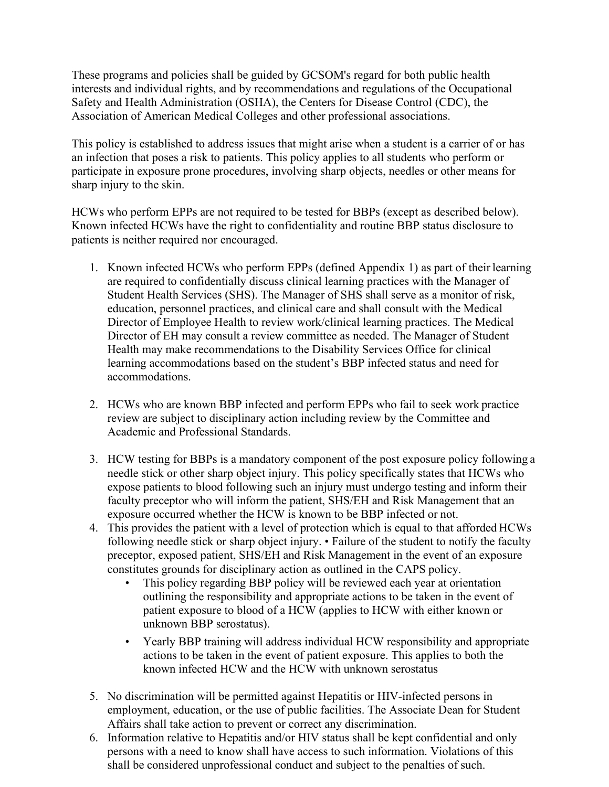These programs and policies shall be guided by GCSOM's regard for both public health interests and individual rights, and by recommendations and regulations of the Occupational Safety and Health Administration (OSHA), the Centers for Disease Control (CDC), the Association of American Medical Colleges and other professional associations.

This policy is established to address issues that might arise when a student is a carrier of or has an infection that poses a risk to patients. This policy applies to all students who perform or participate in exposure prone procedures, involving sharp objects, needles or other means for sharp injury to the skin.

HCWs who perform EPPs are not required to be tested for BBPs (except as described below). Known infected HCWs have the right to confidentiality and routine BBP status disclosure to patients is neither required nor encouraged.

- 1. Known infected HCWs who perform EPPs (defined Appendix 1) as part of their learning are required to confidentially discuss clinical learning practices with the Manager of Student Health Services (SHS). The Manager of SHS shall serve as a monitor of risk, education, personnel practices, and clinical care and shall consult with the Medical Director of Employee Health to review work/clinical learning practices. The Medical Director of EH may consult a review committee as needed. The Manager of Student Health may make recommendations to the Disability Services Office for clinical learning accommodations based on the student's BBP infected status and need for accommodations.
- 2. HCWs who are known BBP infected and perform EPPs who fail to seek work practice review are subject to disciplinary action including review by the Committee and Academic and Professional Standards.
- 3. HCW testing for BBPs is a mandatory component of the post exposure policy following a needle stick or other sharp object injury. This policy specifically states that HCWs who expose patients to blood following such an injury must undergo testing and inform their faculty preceptor who will inform the patient, SHS/EH and Risk Management that an exposure occurred whether the HCW is known to be BBP infected or not.
- 4. This provides the patient with a level of protection which is equal to that afforded HCWs following needle stick or sharp object injury. • Failure of the student to notify the faculty preceptor, exposed patient, SHS/EH and Risk Management in the event of an exposure constitutes grounds for disciplinary action as outlined in the CAPS policy.
	- This policy regarding BBP policy will be reviewed each year at orientation outlining the responsibility and appropriate actions to be taken in the event of patient exposure to blood of a HCW (applies to HCW with either known or unknown BBP serostatus).
	- Yearly BBP training will address individual HCW responsibility and appropriate actions to be taken in the event of patient exposure. This applies to both the known infected HCW and the HCW with unknown serostatus
- 5. No discrimination will be permitted against Hepatitis or HIV-infected persons in employment, education, or the use of public facilities. The Associate Dean for Student Affairs shall take action to prevent or correct any discrimination.
- 6. Information relative to Hepatitis and/or HIV status shall be kept confidential and only persons with a need to know shall have access to such information. Violations of this shall be considered unprofessional conduct and subject to the penalties of such.